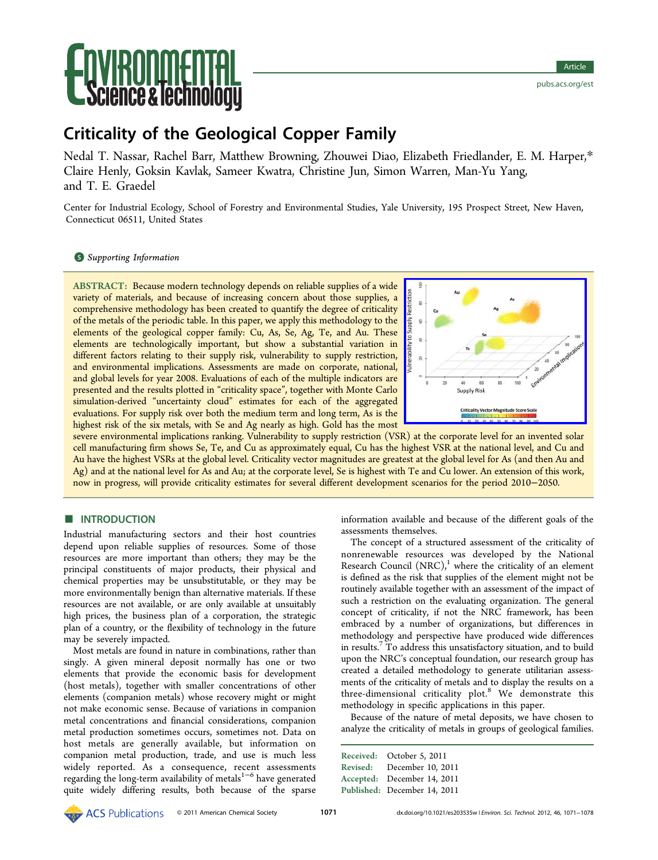# **Ce & lechnolo**

## Criticality of the Geological Copper Family

Nedal T. Nassar, Rachel Barr, Matthew Browning, Zhouwei Diao, Elizabeth Friedlander, E. M. Harper,[\\*](#page-7-0) Claire Henly, Goksin Kavlak, Sameer Kwatra, Christine Jun, Simon Warren, Man-Yu Yang, and T. E. Graedel

Center for Industrial Ecology, School of Forestry and Environmental Studies, Yale University, 195 Prospect Street, New Haven, Connecticut 06511, United States

#### **S** [Supporting Information](#page-7-0)

ABSTRACT: Because modern technology depends on reliable supplies of a wide variety of materials, and because of increasing concern about those supplies, a comprehensive methodology has been created to quantify the degree of criticality of the metals of the periodic table. In this paper, we apply this methodology to the elements of the geological copper family: Cu, As, Se, Ag, Te, and Au. These elements are technologically important, but show a substantial variation in different factors relating to their supply risk, vulnerability to supply restriction, and environmental implications. Assessments are made on corporate, national, and global levels for year 2008. Evaluations of each of the multiple indicators are presented and the results plotted in "criticality space", together with Monte Carlo simulation-derived "uncertainty cloud" estimates for each of the aggregated evaluations. For supply risk over both the medium term and long term, As is the highest risk of the six metals, with Se and Ag nearly as high. Gold has the most



severe environmental implications ranking. Vulnerability to supply restriction (VSR) at the corporate level for an invented solar cell manufacturing firm shows Se, Te, and Cu as approximately equal, Cu has the highest VSR at the national level, and Cu and Au have the highest VSRs at the global level. Criticality vector magnitudes are greatest at the global level for As (and then Au and Ag) and at the national level for As and Au; at the corporate level, Se is highest with Te and Cu lower. An extension of this work, now in progress, will provide criticality estimates for several different development scenarios for the period 2010−2050.

#### **ENTRODUCTION**

Industrial manufacturing sectors and their host countries depend upon reliable supplies of resources. Some of those resources are more important than others; they may be the principal constituents of major products, their physical and chemical properties may be unsubstitutable, or they may be more environmentally benign than alternative materials. If these resources are not available, or are only available at unsuitably high prices, the business plan of a corporation, the strategic plan of a country, or the flexibility of technology in the future may be severely impacted.

Most metals are found in nature in combinations, rather than singly. A given mineral deposit normally has one or two elements that provide the economic basis for development (host metals), together with smaller concentrations of other elements (companion metals) whose recovery might or might not make economic sense. Because of variations in companion metal concentrations and financial considerations, companion metal production sometimes occurs, sometimes not. Data on host metals are generally available, but information on companion metal production, trade, and use is much less widely reported. As a consequence, recent assessments regarding the long-term availability of metals<sup>[1](#page-7-0)-[6](#page-7-0)</sup> have generated quite widely differing results, both because of the sparse information available and because of the different goals of the assessments themselves.

The concept of a structured assessment of the criticality of nonrenewable resources was developed by the National Research Council  $(NRC)$ ,<sup>[1](#page-7-0)</sup> where the criticality of an element is defined as the risk that supplies of the element might not be routinely available together with an assessment of the impact of such a restriction on the evaluating organization. The general concept of criticality, if not the NRC framework, has been embraced by a number of organizations, but differences in methodology and perspective have produced wide differences in results.[7](#page-7-0) To address this unsatisfactory situation, and to build upon the NRC's conceptual foundation, our research group has created a detailed methodology to generate utilitarian assessments of the criticality of metals and to display the results on a three-dimensional criticality  $plot.^{8}$  $plot.^{8}$  $plot.^{8}$  We demonstrate this methodology in specific applications in this paper.

Because of the nature of metal deposits, we have chosen to analyze the criticality of metals in groups of geological families.

| Received:       | October 5, 2011              |
|-----------------|------------------------------|
| <b>Revised:</b> | December 10, 2011            |
|                 | Accepted: December 14, 2011  |
|                 | Published: December 14, 2011 |

GRO 2011 American Chemical Society 1071 dx.doi.org/10.1021/es203535w | Environ. Sci. Technol. 2012, 46, 1071−1078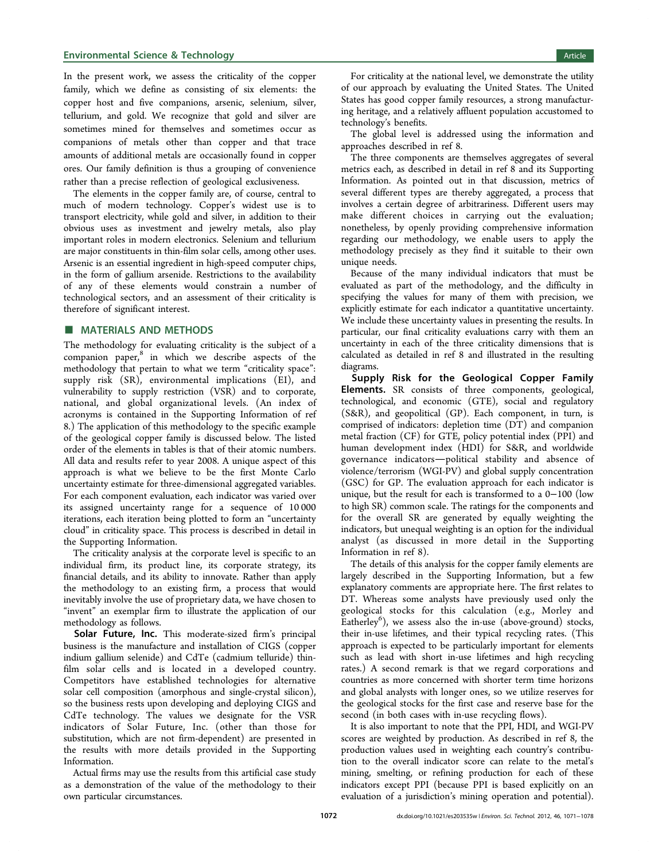In the present work, we assess the criticality of the copper family, which we define as consisting of six elements: the copper host and five companions, arsenic, selenium, silver, tellurium, and gold. We recognize that gold and silver are sometimes mined for themselves and sometimes occur as companions of metals other than copper and that trace amounts of additional metals are occasionally found in copper ores. Our family definition is thus a grouping of convenience rather than a precise reflection of geological exclusiveness.

The elements in the copper family are, of course, central to much of modern technology. Copper's widest use is to transport electricity, while gold and silver, in addition to their obvious uses as investment and jewelry metals, also play important roles in modern electronics. Selenium and tellurium are major constituents in thin-film solar cells, among other uses. Arsenic is an essential ingredient in high-speed computer chips, in the form of gallium arsenide. Restrictions to the availability of any of these elements would constrain a number of technological sectors, and an assessment of their criticality is therefore of significant interest.

#### ■ MATERIALS AND METHODS

The methodology for evaluating criticality is the subject of a companion paper,<sup>[8](#page-7-0)</sup> in which we describe aspects of the methodology that pertain to what we term "criticality space": supply risk (SR), environmental implications (EI), and vulnerability to supply restriction (VSR) and to corporate, national, and global organizational levels. (An index of acronyms is contained in the Supporting Information of ref [8](#page-7-0).) The application of this methodology to the specific example of the geological copper family is discussed below. The listed order of the elements in tables is that of their atomic numbers. All data and results refer to year 2008. A unique aspect of this approach is what we believe to be the first Monte Carlo uncertainty estimate for three-dimensional aggregated variables. For each component evaluation, each indicator was varied over its assigned uncertainty range for a sequence of 10 000 iterations, each iteration being plotted to form an "uncertainty cloud" in criticality space. This process is described in detail in the [Supporting Information.](#page-7-0)

The criticality analysis at the corporate level is specific to an individual firm, its product line, its corporate strategy, its financial details, and its ability to innovate. Rather than apply the methodology to an existing firm, a process that would inevitably involve the use of proprietary data, we have chosen to "invent" an exemplar firm to illustrate the application of our methodology as follows.

Solar Future, Inc. This moderate-sized firm's principal business is the manufacture and installation of CIGS (copper indium gallium selenide) and CdTe (cadmium telluride) thinfilm solar cells and is located in a developed country. Competitors have established technologies for alternative solar cell composition (amorphous and single-crystal silicon), so the business rests upon developing and deploying CIGS and CdTe technology. The values we designate for the VSR indicators of Solar Future, Inc. (other than those for substitution, which are not firm-dependent) are presented in the results with more details provided in the [Supporting](#page-7-0) [Information.](#page-7-0)

Actual firms may use the results from this artificial case study as a demonstration of the value of the methodology to their own particular circumstances.

For criticality at the national level, we demonstrate the utility of our approach by evaluating the United States. The United States has good copper family resources, a strong manufacturing heritage, and a relatively affluent population accustomed to technology's benefits.

The global level is addressed using the information and approaches described in ref [8.](#page-7-0)

The three components are themselves aggregates of several metrics each, as described in detail in ref [8](#page-7-0) and its Supporting Information. As pointed out in that discussion, metrics of several different types are thereby aggregated, a process that involves a certain degree of arbitrariness. Different users may make different choices in carrying out the evaluation; nonetheless, by openly providing comprehensive information regarding our methodology, we enable users to apply the methodology precisely as they find it suitable to their own unique needs.

Because of the many individual indicators that must be evaluated as part of the methodology, and the difficulty in specifying the values for many of them with precision, we explicitly estimate for each indicator a quantitative uncertainty. We include these uncertainty values in presenting the results. In particular, our final criticality evaluations carry with them an uncertainty in each of the three criticality dimensions that is calculated as detailed in ref [8](#page-7-0) and illustrated in the resulting diagrams.

Supply Risk for the Geological Copper Family Elements. SR consists of three components, geological, technological, and economic (GTE), social and regulatory (S&R), and geopolitical (GP). Each component, in turn, is comprised of indicators: depletion time (DT) and companion metal fraction (CF) for GTE, policy potential index (PPI) and human development index (HDI) for S&R, and worldwide governance indicators-political stability and absence of violence/terrorism (WGI-PV) and global supply concentration (GSC) for GP. The evaluation approach for each indicator is unique, but the result for each is transformed to a 0−100 (low to high SR) common scale. The ratings for the components and for the overall SR are generated by equally weighting the indicators, but unequal weighting is an option for the individual analyst (as discussed in more detail in the Supporting Information in ref [8\)](#page-7-0).

The details of this analysis for the copper family elements are largely described in the [Supporting Information](#page-7-0), but a few explanatory comments are appropriate here. The first relates to DT. Whereas some analysts have previously used only the geological stocks for this calculation (e.g., Morley and Eatherley<sup>[6](#page-7-0)</sup>), we assess also the in-use (above-ground) stocks, their in-use lifetimes, and their typical recycling rates. (This approach is expected to be particularly important for elements such as lead with short in-use lifetimes and high recycling rates.) A second remark is that we regard corporations and countries as more concerned with shorter term time horizons and global analysts with longer ones, so we utilize reserves for the geological stocks for the first case and reserve base for the second (in both cases with in-use recycling flows).

It is also important to note that the PPI, HDI, and WGI-PV scores are weighted by production. As described in ref [8,](#page-7-0) the production values used in weighting each country's contribution to the overall indicator score can relate to the metal's mining, smelting, or refining production for each of these indicators except PPI (because PPI is based explicitly on an evaluation of a jurisdiction's mining operation and potential).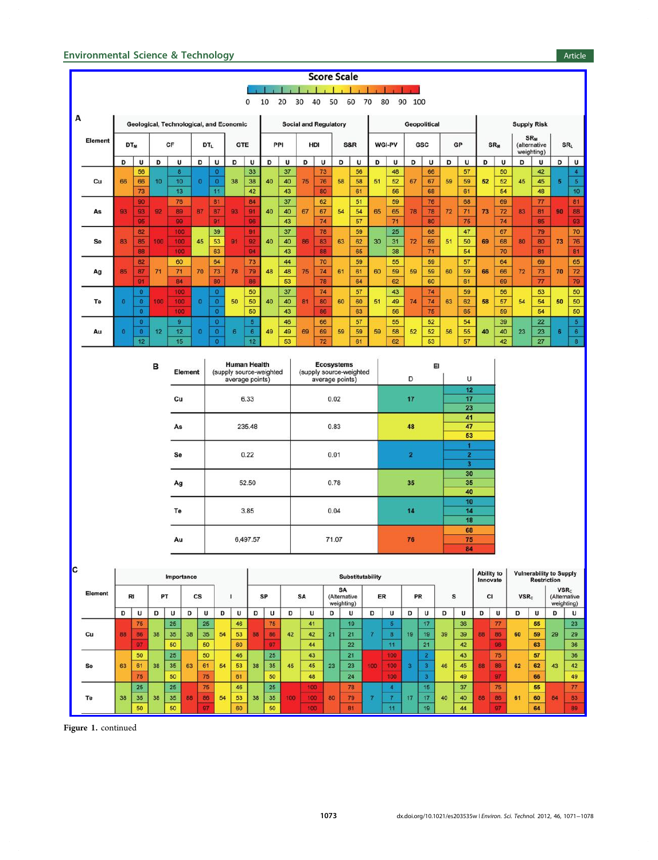### Environmental Science & Technology **Article** 3 and 3 and 3 and 3 and 3 and 3 and 3 and 3 and 3 and 4 and 4 and 4 and 4 and 4 and 4 and 4 and 4 and 4 and 4 and 4 and 4 and 4 and 4 and 4 and 4 and 4 and 4 and 4 and 4 and 4 a

|    | <b>Score Scale</b>                                                                                            |           |                                           |     |                 |         |           |                                 |                                                                   |                |         |                |                                                                         |                |                                  |                                                     |    |                                                              |           |                |    |                |                               |                |                                                                                |                                |    |                          |
|----|---------------------------------------------------------------------------------------------------------------|-----------|-------------------------------------------|-----|-----------------|---------|-----------|---------------------------------|-------------------------------------------------------------------|----------------|---------|----------------|-------------------------------------------------------------------------|----------------|----------------------------------|-----------------------------------------------------|----|--------------------------------------------------------------|-----------|----------------|----|----------------|-------------------------------|----------------|--------------------------------------------------------------------------------|--------------------------------|----|--------------------------|
|    | 10<br>20<br>30<br>40<br>50<br>60<br>70<br>80<br>90 100<br>0                                                   |           |                                           |     |                 |         |           |                                 |                                                                   |                |         |                |                                                                         |                |                                  |                                                     |    |                                                              |           |                |    |                |                               |                |                                                                                |                                |    |                          |
| А  | Geological, Technological, and Economic<br><b>Social and Regulatory</b><br>Geopolitical<br><b>Supply Risk</b> |           |                                           |     |                 |         |           |                                 |                                                                   |                |         |                |                                                                         |                |                                  |                                                     |    |                                                              |           |                |    |                |                               |                |                                                                                |                                |    |                          |
|    | <b>Element</b><br>$DT_M$<br>CF<br>DT <sub>L</sub><br><b>GTE</b><br>PPI                                        |           |                                           |     | S&R<br>HDI      |         |           |                                 | <b>WGI-PV</b><br><b>GSC</b>                                       |                |         | GP             |                                                                         | $SR_M$         |                                  | <b>SR<sub>M</sub></b><br>(alternative<br>weighting) |    | SR <sub>L</sub>                                              |           |                |    |                |                               |                |                                                                                |                                |    |                          |
|    |                                                                                                               | D         | U<br>56                                   | D   | U<br>8          |         | D         | U<br>$\mathbf{0}$               | D                                                                 | U<br>33        | D       | U<br>37        | D                                                                       | U<br>73        | D                                | U<br>56                                             | D  | U<br>48                                                      | D         | U<br>66        | D  | U<br>57        | D                             | U<br>50        | D                                                                              | U<br>42                        | D  | U<br>$\overline{4}$      |
|    | Cu                                                                                                            | 66        | 66<br>73                                  | 10  | 10<br>13        |         | $\bf{0}$  | $\bullet$<br>11                 | 38                                                                | 38<br>42       | 40      | 40<br>43       | 75                                                                      | 76<br>80       | 58                               | 58<br>61                                            | 51 | 52<br>56                                                     | 67        | 67<br>68       | 59 | 59<br>61       | 52                            | 52<br>54       | 45                                                                             | 45<br>48                       | 5  | $\overline{5}$<br>10     |
|    | As                                                                                                            | 93        | 90<br>93<br>95                            | 92  | 76<br>89<br>99  |         | 87        | 81<br>87<br>91                  | 93                                                                | 84<br>91<br>96 | 40      | 37<br>40<br>43 | 67                                                                      | 62<br>67<br>74 | 54                               | 51<br>54<br>57                                      | 65 | 59<br>65<br>71                                               | 78        | 76<br>78<br>80 | 72 | 68<br>71<br>75 | 73                            | 69<br>72<br>74 | 83                                                                             | 77<br>81<br>85                 | 90 | 81<br>88<br>93           |
|    | Se                                                                                                            | 83        | 82<br>85                                  | 100 | 100<br>100      |         | 45        | 39<br>53                        | 91                                                                | 91<br>92       | 40      | 37<br>40       | 86                                                                      | 78<br>83       | 63                               | 59<br>62                                            | 30 | 25<br>31                                                     | 72        | 68<br>69       | 51 | 47<br>50       | 69                            | 67<br>68       | 80                                                                             | 79<br>80                       | 73 | 70<br>76                 |
|    |                                                                                                               |           | 88<br>82                                  |     | 100<br>60       |         |           | 63<br>64                        |                                                                   | 94<br>73       |         | 43<br>44       |                                                                         | 88<br>70       |                                  | 65<br>59                                            |    | 38<br>55                                                     |           | 71<br>59       |    | 54<br>57       |                               | 70<br>64       |                                                                                | 81<br>69                       |    | 81<br>65                 |
|    | Ag                                                                                                            | 85        | 87<br>91<br>$\theta$                      | 71  | 71<br>84<br>100 |         | 70        | 73<br>80<br>$\bullet$           | 78                                                                | 79<br>86<br>50 | 48      | 48<br>53<br>37 | 75                                                                      | 74<br>78<br>74 | 61                               | 61<br>64<br>57                                      | 60 | 59<br>62<br>43                                               | 59        | 59<br>60<br>74 | 60 | 59<br>61<br>59 | 66                            | 66<br>69<br>56 | 72                                                                             | 73<br>77<br>53                 | 70 | 72<br>79<br>50           |
|    | Te                                                                                                            | $\bullet$ | $\circ$<br>$\bullet$                      | 100 | 100<br>100      |         | $\bf{0}$  | $\bullet$<br>$\bullet$          | 50                                                                | 50<br>50       | 40      | 40<br>43       | 81                                                                      | 80<br>86       | 60                               | 60<br>63                                            | 51 | 49<br>56                                                     | 74        | 74<br>75       | 63 | 62<br>65       | 58                            | 57<br>59       | 54                                                                             | 54<br>54                       | 50 | 50<br>50                 |
|    | Au                                                                                                            | ٥         | $\bullet$<br>$\bullet$<br>12 <sub>2</sub> | 12  | 9<br>12<br>15   |         | $\bullet$ | $\circ$<br>$\circ$<br>$\bullet$ | 6                                                                 | 5<br>6<br>12   | 49      | 46<br>49<br>53 | 69                                                                      | 66<br>69<br>72 | 59                               | 57<br>59<br>61                                      | 59 | 55<br>58<br>62                                               | 52        | 52<br>52<br>53 | 56 | 54<br>55<br>57 | 40                            | 39<br>40<br>42 | 23                                                                             | 22<br>23<br>27                 | 6  | 5<br>$6\phantom{.}$<br>8 |
|    |                                                                                                               |           |                                           | в   | Cu              | Element |           |                                 | <b>Human Health</b><br>(supply source-weighted<br>average points) | 6.33           |         |                | <b>Ecosystems</b><br>(supply source-weighted<br>average points)<br>0.02 |                |                                  |                                                     |    |                                                              | D<br>17   | EI             |    | U<br>12<br>17  |                               |                |                                                                                |                                |    |                          |
|    |                                                                                                               |           |                                           |     | As              |         |           |                                 |                                                                   | 235.48         |         |                |                                                                         |                | 0.83                             |                                                     |    | 23<br>41<br>47<br>48<br>53                                   |           |                |    |                |                               |                |                                                                                |                                |    |                          |
|    |                                                                                                               |           |                                           |     | Se              |         |           |                                 |                                                                   | 0.22           |         |                |                                                                         |                | 0.01                             |                                                     |    | п<br>$\overline{\mathbf{2}}$<br>$\overline{\mathbf{2}}$<br>3 |           |                |    |                |                               |                |                                                                                |                                |    |                          |
|    |                                                                                                               |           |                                           |     | Ag              |         |           |                                 |                                                                   | 52.50          |         |                |                                                                         |                | 0.78                             |                                                     |    | 30<br>35<br>35<br>40                                         |           |                |    |                |                               |                |                                                                                |                                |    |                          |
|    |                                                                                                               |           |                                           |     | Te              |         |           |                                 |                                                                   | 3.85           |         |                |                                                                         |                | 0.04                             |                                                     |    |                                                              | 14        |                |    | 10<br>14<br>18 |                               |                |                                                                                |                                |    |                          |
|    |                                                                                                               |           |                                           |     | Au              |         |           |                                 |                                                                   | 6,497.57       |         |                |                                                                         |                | 71.07                            |                                                     |    |                                                              | 76        |                |    | 68<br>75<br>84 |                               |                |                                                                                |                                |    |                          |
| lс |                                                                                                               |           |                                           |     | Importance      |         |           |                                 |                                                                   |                |         |                |                                                                         |                |                                  | <b>Substitutability</b>                             |    |                                                              |           |                |    |                | <b>Ability to</b><br>Innovate |                |                                                                                | <b>Vulnerability to Supply</b> |    |                          |
|    | Element                                                                                                       | RI        |                                           | PT  |                 |         | CS        |                                 | $\mathbf{I}$                                                      |                | SP      |                | SA                                                                      |                | SA<br>(Alternative<br>weighting) |                                                     | ER |                                                              | <b>PR</b> |                | S  |                | CI                            |                | <b>Restriction</b><br><b>VSRc</b><br><b>VSRc</b><br>(Alternative<br>weighting) |                                |    |                          |
|    |                                                                                                               | D         | U<br>75                                   | D   | U<br>25         | D       | U<br>25   | D                               | U<br>46                                                           | D              | U<br>75 | D              | U<br>41                                                                 |                | D                                | U<br>19                                             | D  | U<br>$\sqrt{5}$                                              | D         | U<br>17        | D  | U<br>36        | D                             | U<br>77        | D                                                                              | U<br>55                        | D  | U<br>23                  |
| Cu |                                                                                                               | 88        | 86                                        | 38  | 35              | 38      | 35        | 54                              | 53                                                                | 88             | 86      | 42             | 42                                                                      | 21             |                                  | 21                                                  | 7  | 8                                                            | 19        | 19             | 39 | 39             | 88                            | 86             | 60                                                                             | 59                             | 29 | 29                       |

Figure 1. continued

Se

Te

 $50\,$ 

 $\begin{array}{r} 25 \\ 35 \end{array}$ 

 $\overline{50}$ 

 $45<sup>°</sup>$ 

 $\begin{array}{r} 25 \\ 35 \end{array}$ 

 $50\,$ 

 $\frac{75}{86}$ 

 $\frac{46}{ }$ 

 $\begin{array}{c|c}\n\hline\n46 \\
\hline\n53\n\end{array}$ 

 $\begin{array}{c} \hline 77 \\ \hline 83 \end{array}$ 

 $\hat{\mathcal{A}}$ 

 $\begin{array}{c} \hline 55 \\ \hline 60 \end{array}$ 

 $\overline{21}$ 

78<br>79

 $\frac{100}{100}$ 

 $\begin{array}{r} 25 \\ 35 \end{array}$ 

 $\overline{2}$ 

 $\overline{\mathbf{3}}$ 

 $\frac{3}{3}$ 

 $\frac{15}{17}$ 

 $\overline{19}$ 

75<br>86

ä.

75<br>86

 $\bar{1}\bar{1}$ 

 $\overline{11}$ 

 $\bar{t}$  $\overline{7}$  $17^{\circ}$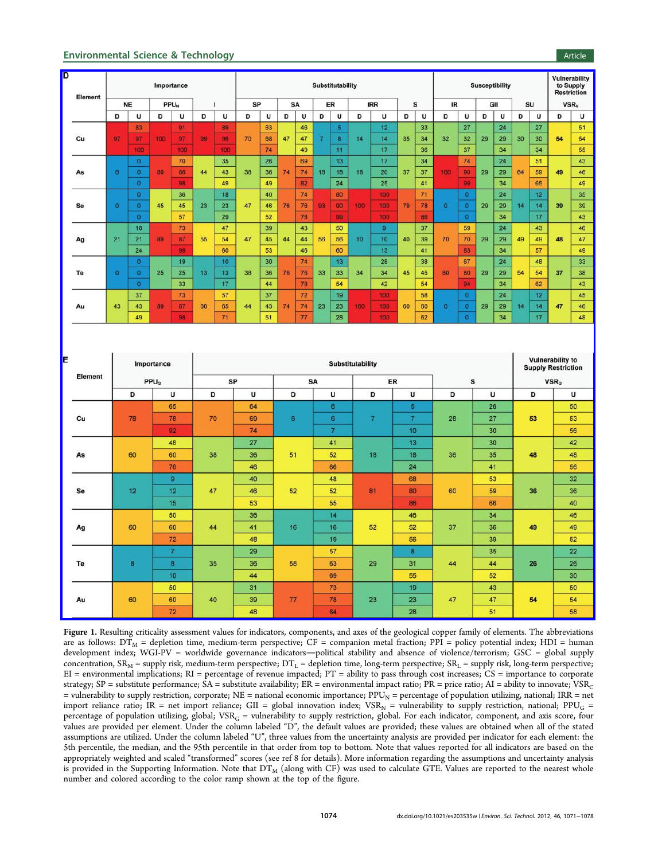#### **Environmental Science & Technology Article** Article 30 and 30 and 30 and 30 and 30 and 30 and 30 and 30 and 30 and 30 and 30 and 30 and 30 and 30 and 30 and 30 and 30 and 30 and 30 and 30 and 30 and 30 and 30 and 30 and 3

| D | Element                             | Importance             |                     |          |                |           |     |                         | <b>Substitutability</b> |    |    |                |                |                |                |                |    |                | <b>Susceptibility</b> |                                                      |    |                        |                   |                        | <b>Vulnerability</b><br>to Supply<br><b>Restriction</b> |  |  |
|---|-------------------------------------|------------------------|---------------------|----------|----------------|-----------|-----|-------------------------|-------------------------|----|----|----------------|----------------|----------------|----------------|----------------|----|----------------|-----------------------|------------------------------------------------------|----|------------------------|-------------------|------------------------|---------------------------------------------------------|--|--|
|   | <b>NE</b><br><b>PPU<sub>N</sub></b> |                        |                     |          | 1              |           | SP  |                         |                         | SA | ER |                |                | <b>IRR</b>     |                | S              | IR |                |                       | GII                                                  | SU |                        |                   | <b>VSR<sub>N</sub></b> |                                                         |  |  |
|   |                                     | D                      | U                   | D        | U              | D         | U   | D                       | U                       | D  | U  | D              | U              | D              | U              | D              | U  | D              | Ù                     | D                                                    | U  | D                      | U                 | D                      | U                                                       |  |  |
|   |                                     |                        | 83                  |          | 91             |           | 89  |                         | 63                      |    | 46 |                | 5              |                | 12             |                | 33 |                | 27                    |                                                      | 24 |                        | 27                |                        | 51                                                      |  |  |
|   | Cu                                  | 97                     | 97                  | 100      | 97             | 99        | 96  | 70                      | 68                      | 47 | 47 | $\overline{7}$ | 8              | 14             | 14             | 35             | 34 | 32             | 32                    | 29                                                   | 29 | 30                     | 30                | 54                     | 54                                                      |  |  |
|   |                                     |                        | 100                 |          | 100            |           | 100 |                         | 74                      |    | 49 |                | 11             |                | 17             |                | 36 |                | 37                    |                                                      | 34 |                        | 34                |                        | 55                                                      |  |  |
|   |                                     |                        | $\mathbf{0}$        |          | 70             |           | 35  |                         | 26                      |    | 69 |                | 13             |                | 17             |                | 34 |                | 74                    |                                                      | 24 | 64                     | 51                |                        | 43                                                      |  |  |
|   | As                                  | $\theta$               | $\bullet$           | 89       | 86             | 44        | 43  | 38                      | 36                      | 74 | 74 | 18             | 18             | 18             | 20             | 37             | 37 | 100            | 90                    | 29<br>29                                             |    |                        | 59                | 49                     | 46                                                      |  |  |
|   |                                     |                        | $\Omega$            |          | 98             |           | 49  |                         | 49                      |    | 82 |                | 24             |                | 25             |                | 41 |                | 99                    |                                                      | 34 |                        | 65                |                        | 49                                                      |  |  |
|   |                                     |                        | $\bullet$           |          | 36             |           | 18  |                         | 40                      |    | 74 |                | 80             |                | 100            |                | 71 |                | $\bullet$             |                                                      | 24 |                        | $12 \overline{ }$ |                        | 35                                                      |  |  |
|   | Se                                  | $\bullet$              | $\ddot{\mathbf{0}}$ | 45       | 45             | 23        | 23  | 47                      | 46                      | 76 | 76 | 93             | 90             | 100            | 109            | 79             | 78 | $\bullet$      | $\ddot{\mathbf{0}}$   | 29                                                   | 29 | 14                     | 14                | 39                     | 39                                                      |  |  |
|   |                                     |                        | $\theta$            |          | 57             |           | 29  |                         | 52                      |    | 78 |                | 99             |                | 100            |                | 86 |                | $\mathbf{O}$          |                                                      | 34 |                        | 17                |                        | 43                                                      |  |  |
|   |                                     | 18                     |                     | 73       |                | 47        |     | 39                      |                         | 43 |    | 50             |                | $\overline{9}$ |                | 37             |    | 59             |                       | 24                                                   |    | 43                     |                   | 46                     |                                                         |  |  |
|   | Ag                                  | 21                     | 21                  | 89       | 87             | 55        | 54  | 47                      | 45                      | 44 | 44 | 56             | 56             | 10             | 10             | 40             | 39 | 70             | 70                    | 29                                                   | 29 | 49                     | 49                | 48                     | 47                                                      |  |  |
|   |                                     |                        | 24                  |          | 98             |           | 60  |                         | 53                      |    | 46 |                | 60             |                | 13             |                | 41 |                | 83                    |                                                      | 34 |                        | 57                |                        | 49                                                      |  |  |
|   |                                     |                        | $\bullet$           |          | 19             |           | 10  |                         | 30                      |    | 74 |                | 13             |                | 28             |                | 38 |                | 67                    |                                                      | 24 |                        | 48                |                        | 33                                                      |  |  |
|   | Te                                  | $\bullet$              | $\bullet$           | 25       | 25             | 13        | 13  | 38                      | 36                      | 76 | 76 | 33             | 33             | 34             | 34             | 45             | 45 | 80             | 80                    | 29                                                   | 29 | 54                     | 54                | 37                     | 38                                                      |  |  |
|   |                                     |                        | $\bullet$           |          | 33             |           | 17  |                         | 44                      |    | 78 |                | 54             |                | 42             |                | 54 |                | 94                    |                                                      | 34 |                        | 62                |                        | 43                                                      |  |  |
|   |                                     |                        | 37                  |          | 73             |           | 57  |                         | 37                      |    | 72 |                | 19             |                | 100            |                | 58 |                | $\bullet$             |                                                      | 24 |                        | 12                |                        | 45                                                      |  |  |
|   | Au                                  | 43                     | 43                  | 89       | 87             | 66        | 65  | 44                      | 43                      | 74 | 74 | 23             | 23             | 100            | 100            | 60             | 60 | $\overline{0}$ | $\bullet$             | 29                                                   | 29 | 14                     | 14                | 47                     | 46                                                      |  |  |
|   |                                     |                        | 49                  |          | 98             |           | 71  |                         | 51                      |    | 77 |                | 28             |                | 100            |                | 62 |                | $\bf{0}$              |                                                      | 34 |                        | 17                |                        | 48                                                      |  |  |
| E |                                     | Importance             |                     |          |                |           |     | <b>Substitutability</b> |                         |    |    |                |                |                |                |                |    |                |                       | <b>Vulnerability to</b><br><b>Supply Restriction</b> |    |                        |                   |                        |                                                         |  |  |
|   | <b>Element</b>                      | <b>PPU<sub>G</sub></b> |                     |          |                | <b>SP</b> |     |                         |                         | SA |    |                |                | ER             |                |                |    | s              |                       |                                                      |    | <b>VSR<sub>G</sub></b> |                   |                        |                                                         |  |  |
|   |                                     | D                      |                     | U        |                | D         |     | U                       |                         | D  |    | U              |                |                | D              |                | U  |                |                       | U                                                    |    |                        | D                 |                        | U                                                       |  |  |
|   |                                     |                        |                     |          |                |           |     | 64                      |                         |    |    |                | 6              |                |                | $\sqrt{5}$     |    | D              |                       | 26                                                   |    |                        |                   |                        | 50                                                      |  |  |
|   |                                     |                        |                     | 65<br>78 |                | 70        |     |                         |                         | 6  |    |                | 6              |                | $\overline{7}$ |                |    |                |                       |                                                      |    |                        |                   |                        |                                                         |  |  |
|   | Cu                                  |                        | 78                  |          |                |           |     | 69                      |                         |    |    |                |                |                |                | $\overline{7}$ |    | 28             |                       | 27                                                   |    |                        | 53                |                        | 53                                                      |  |  |
|   |                                     |                        |                     |          | 92             |           |     | 74                      |                         |    |    |                | $\overline{7}$ |                |                | 10             |    |                |                       | 30                                                   |    |                        |                   |                        | 56                                                      |  |  |
|   |                                     |                        | 48<br>60<br>60      |          |                |           | 27  |                         |                         | 41 |    |                |                |                | 13             |                |    | 30             |                       |                                                      |    |                        | 42                |                        |                                                         |  |  |
|   | As                                  |                        |                     |          | 38             |           | 36  |                         | 51                      |    | 52 |                | 18             |                |                |                | 36 |                | 35                    |                                                      | 48 |                        |                   | 48                     |                                                         |  |  |
|   |                                     |                        |                     |          |                |           |     |                         |                         |    |    |                |                |                |                | 18             |    |                |                       |                                                      |    |                        |                   |                        | 56                                                      |  |  |
|   |                                     |                        |                     |          | 76             |           |     | 46                      |                         |    |    |                | 66             |                |                | 24             |    |                |                       | 41                                                   |    |                        |                   |                        |                                                         |  |  |
|   |                                     |                        |                     |          | $\mathbf{9}$   |           |     | 40                      |                         |    |    |                | 48             |                |                | 68             |    |                |                       | 53                                                   |    |                        |                   |                        | 32                                                      |  |  |
|   | Se                                  |                        | 12                  |          | 12             | 47        |     | 46                      |                         | 52 |    |                | 52             |                | 81             | 80             |    | 60             |                       | 59                                                   |    |                        | 36                |                        | 36                                                      |  |  |
|   |                                     |                        |                     |          | 15             |           |     | 53                      |                         |    |    |                | 55             |                |                | 86             |    |                |                       | 66                                                   |    |                        |                   |                        | 40                                                      |  |  |
|   |                                     |                        |                     |          | 50             |           |     | 36                      |                         |    |    |                | 14             |                |                | 46             |    |                |                       | 34                                                   |    |                        |                   |                        | 46                                                      |  |  |
|   |                                     |                        |                     |          | 60             |           |     |                         |                         |    |    |                |                |                |                |                |    |                |                       | 36                                                   |    |                        |                   |                        |                                                         |  |  |
|   | Ag                                  |                        | 60                  |          | 72             | 44        |     | 41<br>48                |                         | 16 |    |                | 16<br>19       |                | 52             | 52<br>56       |    | 37             |                       | 39                                                   |    |                        | 49                |                        | 49<br>52                                                |  |  |
|   |                                     |                        |                     |          |                |           |     |                         |                         |    |    |                |                |                |                |                |    |                |                       |                                                      |    |                        |                   |                        |                                                         |  |  |
|   |                                     |                        |                     |          | $\overline{7}$ |           |     | 29                      |                         |    |    |                | 57             |                |                | 8              |    |                |                       | 35                                                   |    |                        |                   |                        | 22                                                      |  |  |
|   | Te                                  |                        | 8                   |          | 8              | 35        |     | 36                      |                         | 58 |    |                | 63             |                | 29             | 31             |    | 44             |                       | 44                                                   |    |                        | 26                |                        | 26                                                      |  |  |
|   |                                     |                        |                     |          | 10             |           |     | 44                      |                         |    |    |                | 69             |                |                | 55             |    |                |                       | 52                                                   |    |                        |                   |                        | 30                                                      |  |  |
|   |                                     |                        |                     |          | 50             |           |     | 31                      |                         |    |    |                | 73             |                |                | 19             |    |                |                       | 43                                                   |    |                        |                   |                        | 50                                                      |  |  |
|   | Au                                  |                        | 60                  |          | 60<br>72       | 40        |     | 39<br>48                |                         | 77 |    |                | 78<br>84       |                | 23             | 23<br>28       |    | 47             |                       | 47<br>51                                             |    |                        | 54                |                        | 54<br>58                                                |  |  |

<span id="page-3-0"></span>Figure 1. Resulting criticality assessment values for indicators, components, and axes of the geological copper family of elements. The abbreviations are as follows:  $DT_M$  = depletion time, medium-term perspective;  $CF =$  companion metal fraction; PPI = policy potential index; HDI = human development index; WGI-PV = worldwide governance indicators—political stability and absence of violence/terrorism; GSC = global supply concentration, SR<sub>M</sub> = supply risk, medium-term perspective;  $DT_L$  = depletion time, long-term perspective; SR<sub>L</sub> = supply risk, long-term perspective;  $EI$  = environmental implications;  $RI$  = percentage of revenue impacted;  $PT$  = ability to pass through cost increases;  $CS$  = importance to corporate strategy; SP = substitute performance; SA = substitute availability; ER = environmental impact ratio; PR = price ratio; AI = ability to innovate; VSR<sub>C</sub> = vulnerability to supply restriction, corporate; NE = national economic importance;  $PPU_N$  = percentage of population utilizing, national; IRR = net import reliance ratio; IR = net import reliance; GII = global innovation index; VSR<sub>N</sub> = vulnerability to supply restriction, national; PPU<sub>G</sub> = percentage of population utilizing, global; VSR<sub>G</sub> = vulnerability to supply restriction, global. For each indicator, component, and axis score, four values are provided per element. Under the column labeled "D", the default values are provided; these values are obtained when all of the stated assumptions are utilized. Under the column labeled "U", three values from the uncertainty analysis are provided per indicator for each element: the 5th percentile, the median, and the 95th percentile in that order from top to bottom. Note that values reported for all indicators are based on the appropriately weighted and scaled "transformed" scores (see ref [8](#page-7-0) for details). More information regarding the assumptions and uncertainty analysis is provided in the [Supporting Information.](#page-7-0) Note that  $DT_M$  (along with CF) was used to calculate GTE. Values are reported to the nearest whole number and colored according to the color ramp shown at the top of the figure.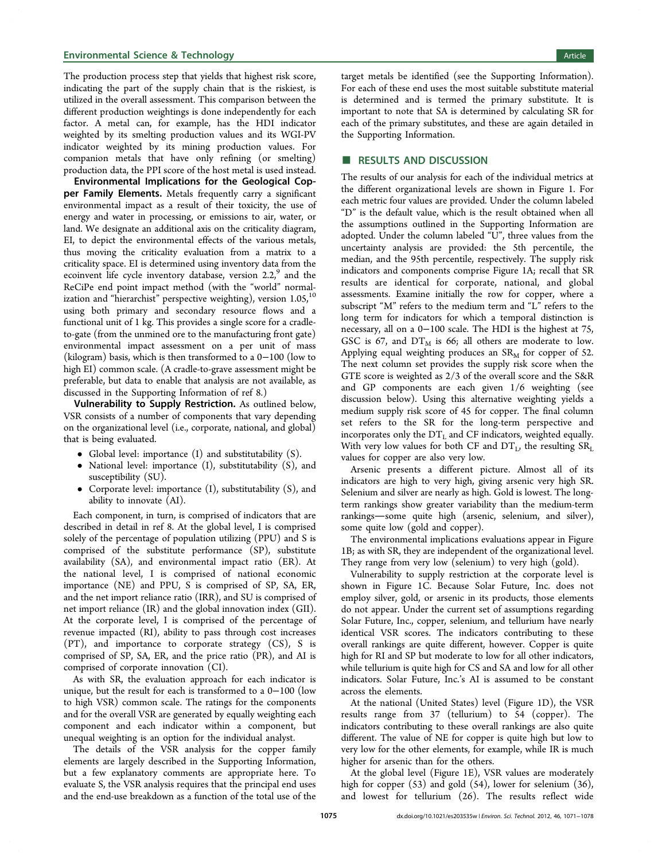#### **Environmental Science & Technology Article** Article 30 and 30 and 30 and 30 and 30 and 30 and 30 and 30 and 30 and 30 and 30 and 30 and 30 and 30 and 30 and 30 and 30 and 30 and 30 and 30 and 30 and 30 and 30 and 30 and 3

The production process step that yields that highest risk score, indicating the part of the supply chain that is the riskiest, is utilized in the overall assessment. This comparison between the different production weightings is done independently for each factor. A metal can, for example, has the HDI indicator weighted by its smelting production values and its WGI-PV indicator weighted by its mining production values. For companion metals that have only refining (or smelting) production data, the PPI score of the host metal is used instead.

Environmental Implications for the Geological Copper Family Elements. Metals frequently carry a significant environmental impact as a result of their toxicity, the use of energy and water in processing, or emissions to air, water, or land. We designate an additional axis on the criticality diagram, EI, to depict the environmental effects of the various metals, thus moving the criticality evaluation from a matrix to a criticality space. EI is determined using inventory data from the ecoinvent life cycle inventory database, version  $2.2$ , and the ReCiPe end point impact method (with the "world" normalization and "hierarchist" perspective weighting), version  $1.05$ ,  $^{10}$  $^{10}$  $^{10}$ using both primary and secondary resource flows and a functional unit of 1 kg. This provides a single score for a cradleto-gate (from the unmined ore to the manufacturing front gate) environmental impact assessment on a per unit of mass (kilogram) basis, which is then transformed to a 0−100 (low to high EI) common scale. (A cradle-to-grave assessment might be preferable, but data to enable that analysis are not available, as discussed in the Supporting Information of ref [8](#page-7-0).)

Vulnerability to Supply Restriction. As outlined below, VSR consists of a number of components that vary depending on the organizational level (i.e., corporate, national, and global) that is being evaluated.

- Global level: importance (I) and substitutability (S).
- National level: importance (I), substitutability (S), and susceptibility (SU).
- Corporate level: importance (I), substitutability (S), and ability to innovate (AI).

Each component, in turn, is comprised of indicators that are described in detail in ref [8](#page-7-0). At the global level, I is comprised solely of the percentage of population utilizing (PPU) and S is comprised of the substitute performance (SP), substitute availability (SA), and environmental impact ratio (ER). At the national level, I is comprised of national economic importance (NE) and PPU, S is comprised of SP, SA, ER, and the net import reliance ratio (IRR), and SU is comprised of net import reliance (IR) and the global innovation index (GII). At the corporate level, I is comprised of the percentage of revenue impacted (RI), ability to pass through cost increases (PT), and importance to corporate strategy (CS), S is comprised of SP, SA, ER, and the price ratio (PR), and AI is comprised of corporate innovation (CI).

As with SR, the evaluation approach for each indicator is unique, but the result for each is transformed to a 0−100 (low to high VSR) common scale. The ratings for the components and for the overall VSR are generated by equally weighting each component and each indicator within a component, but unequal weighting is an option for the individual analyst.

The details of the VSR analysis for the copper family elements are largely described in the [Supporting Information](#page-7-0), but a few explanatory comments are appropriate here. To evaluate S, the VSR analysis requires that the principal end uses and the end-use breakdown as a function of the total use of the

target metals be identified (see the [Supporting Information\)](#page-7-0). For each of these end uses the most suitable substitute material is determined and is termed the primary substitute. It is important to note that SA is determined by calculating SR for each of the primary substitutes, and these are again detailed in the [Supporting Information.](#page-7-0)

#### ■ RESULTS AND DISCUSSION

The results of our analysis for each of the individual metrics at the different organizational levels are shown in Figure [1](#page-3-0). For each metric four values are provided. Under the column labeled "D" is the default value, which is the result obtained when all the assumptions outlined in the [Supporting Information](#page-7-0) are adopted. Under the column labeled "U", three values from the uncertainty analysis are provided: the 5th percentile, the median, and the 95th percentile, respectively. The supply risk indicators and components comprise Figure [1A](#page-3-0); recall that SR results are identical for corporate, national, and global assessments. Examine initially the row for copper, where a subscript "M" refers to the medium term and "L" refers to the long term for indicators for which a temporal distinction is necessary, all on a 0−100 scale. The HDI is the highest at 75, GSC is 67, and  $DT_M$  is 66; all others are moderate to low. Applying equal weighting produces an  $SR<sub>M</sub>$  for copper of 52. The next column set provides the supply risk score when the GTE score is weighted as 2/3 of the overall score and the S&R and GP components are each given 1/6 weighting (see discussion below). Using this alternative weighting yields a medium supply risk score of 45 for copper. The final column set refers to the SR for the long-term perspective and incorporates only the  $DT<sub>L</sub>$  and CF indicators, weighted equally. With very low values for both CF and  $DT_{L}$ , the resulting  $SR_{L}$ values for copper are also very low.

Arsenic presents a different picture. Almost all of its indicators are high to very high, giving arsenic very high SR. Selenium and silver are nearly as high. Gold is lowest. The longterm rankings show greater variability than the medium-term rankings-some quite high (arsenic, selenium, and silver), some quite low (gold and copper).

The environmental implications evaluations appear in Figure [1](#page-3-0)B; as with SR, they are independent of the organizational level. They range from very low (selenium) to very high (gold).

Vulnerability to supply restriction at the corporate level is shown in Figure [1C](#page-3-0). Because Solar Future, Inc. does not employ silver, gold, or arsenic in its products, those elements do not appear. Under the current set of assumptions regarding Solar Future, Inc., copper, selenium, and tellurium have nearly identical VSR scores. The indicators contributing to these overall rankings are quite different, however. Copper is quite high for RI and SP but moderate to low for all other indicators, while tellurium is quite high for CS and SA and low for all other indicators. Solar Future, Inc.'s AI is assumed to be constant across the elements.

At the national (United States) level (Figure [1D](#page-3-0)), the VSR results range from 37 (tellurium) to 54 (copper). The indicators contributing to these overall rankings are also quite different. The value of NE for copper is quite high but low to very low for the other elements, for example, while IR is much higher for arsenic than for the others.

At the global level (Figure [1](#page-3-0)E), VSR values are moderately high for copper (53) and gold (54), lower for selenium (36), and lowest for tellurium (26). The results reflect wide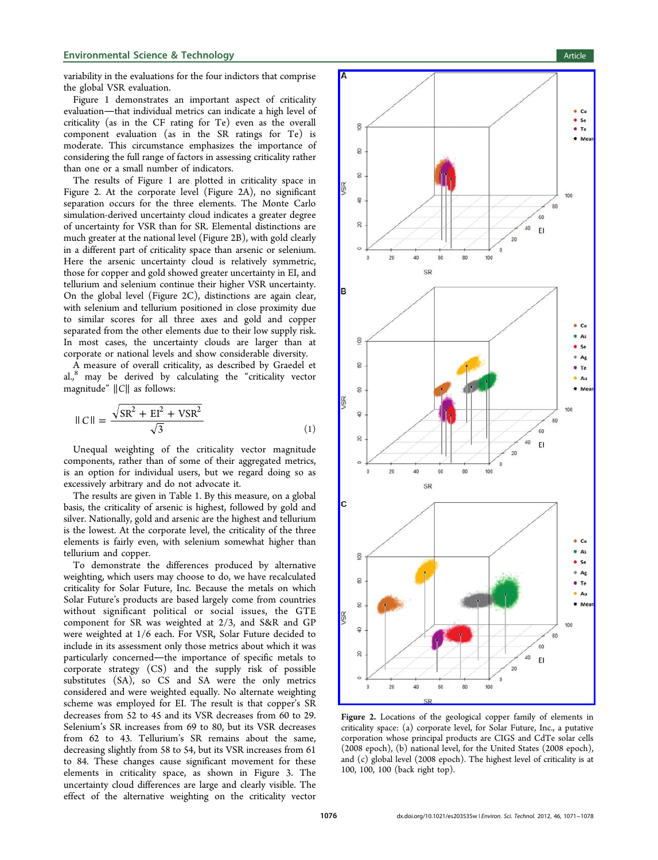#### **Environmental Science & Technology Article** Article 30 and 30 and 30 and 30 and 30 and 30 and 30 and 30 and 30 and 30 and 30 and 30 and 30 and 30 and 30 and 30 and 30 and 30 and 30 and 30 and 30 and 30 and 30 and 30 and 3

variability in the evaluations for the four indictors that comprise the global VSR evaluation.

Figure [1](#page-3-0) demonstrates an important aspect of criticality evaluation-that individual metrics can indicate a high level of criticality (as in the CF rating for Te) even as the overall component evaluation (as in the SR ratings for Te) is moderate. This circumstance emphasizes the importance of considering the full range of factors in assessing criticality rather than one or a small number of indicators.

The results of Figure [1](#page-3-0) are plotted in criticality space in Figure [2](#page-5-0). At the corporate level (Figure [2](#page-5-0)A), no significant separation occurs for the three elements. The Monte Carlo simulation-derived uncertainty cloud indicates a greater degree of uncertainty for VSR than for SR. Elemental distinctions are much greater at the national level (Figure [2](#page-5-0)B), with gold clearly in a different part of criticality space than arsenic or selenium. Here the arsenic uncertainty cloud is relatively symmetric, those for copper and gold showed greater uncertainty in EI, and tellurium and selenium continue their higher VSR uncertainty. On the global level (Figure [2C](#page-5-0)), distinctions are again clear, with selenium and tellurium positioned in close proximity due to similar scores for all three axes and gold and copper separated from the other elements due to their low supply risk. In most cases, the uncertainty clouds are larger than at corporate or national levels and show considerable diversity.

A measure of overall criticality, as described by Graedel et al.,<sup>[8](#page-7-0)</sup> may be derived by calculating the "criticality vector magnitude" ∥C∥ as follows:

$$
\|C\| = \frac{\sqrt{SR^2 + EI^2 + VSR^2}}{\sqrt{3}}
$$
 (1)

Unequal weighting of the criticality vector magnitude components, rather than of some of their aggregated metrics, is an option for individual users, but we regard doing so as excessively arbitrary and do not advocate it.

The results are given in Table [1.](#page-6-0) By this measure, on a global basis, the criticality of arsenic is highest, followed by gold and silver. Nationally, gold and arsenic are the highest and tellurium is the lowest. At the corporate level, the criticality of the three elements is fairly even, with selenium somewhat higher than tellurium and copper.

<span id="page-5-0"></span>To demonstrate the differences produced by alternative weighting, which users may choose to do, we have recalculated criticality for Solar Future, Inc. Because the metals on which Solar Future's products are based largely come from countries without significant political or social issues, the GTE component for SR was weighted at 2/3, and S&R and GP were weighted at 1/6 each. For VSR, Solar Future decided to include in its assessment only those metrics about which it was particularly concerned-the importance of specific metals to corporate strategy (CS) and the supply risk of possible substitutes (SA), so CS and SA were the only metrics considered and were weighted equally. No alternate weighting scheme was employed for EI. The result is that copper's SR decreases from 52 to 45 and its VSR decreases from 60 to 29. Selenium's SR increases from 69 to 80, but its VSR decreases from 62 to 43. Tellurium's SR remains about the same, decreasing slightly from 58 to 54, but its VSR increases from 61 to 84. These changes cause significant movement for these elements in criticality space, as shown in Figure [3.](#page-6-0) The uncertainty cloud differences are large and clearly visible. The effect of the alternative weighting on the criticality vector



Figure 2. Locations of the geological copper family of elements in criticality space: (a) corporate level, for Solar Future, Inc., a putative corporation whose principal products are CIGS and CdTe solar cells (2008 epoch), (b) national level, for the United States (2008 epoch), and (c) global level (2008 epoch). The highest level of criticality is at 100, 100, 100 (back right top).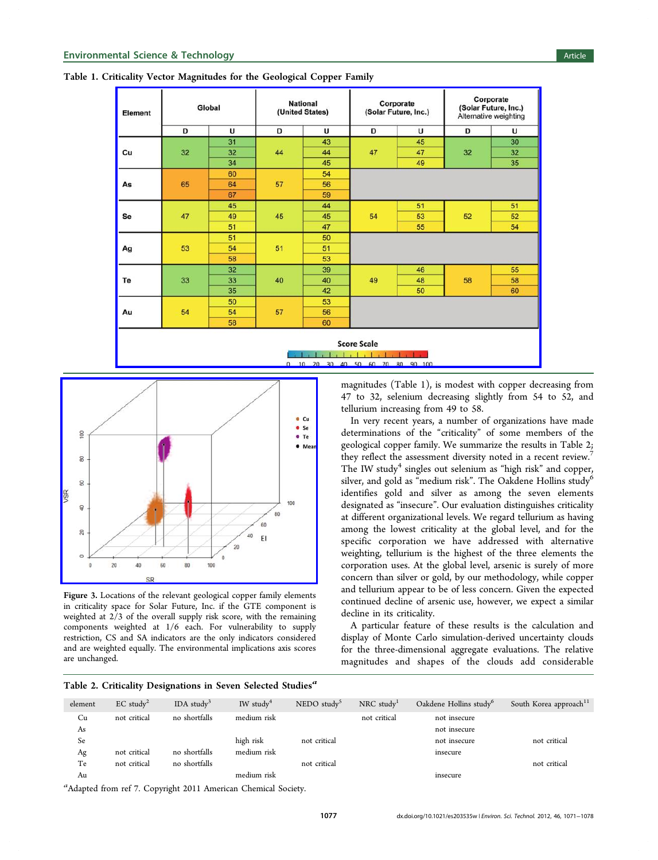Table 1. Criticality Vector Magnitudes for the Geological Copper Family

| Element |    | Global |    | <b>National</b><br>(United States) |                                                        | Corporate<br>(Solar Future, Inc.) | Corporate<br>(Solar Future, Inc.)<br>Alternative weighting |    |  |  |
|---------|----|--------|----|------------------------------------|--------------------------------------------------------|-----------------------------------|------------------------------------------------------------|----|--|--|
|         | D  | U      | D  | U                                  | D                                                      | U                                 | D                                                          | U  |  |  |
|         |    | 31     |    | 43                                 |                                                        | 45                                |                                                            | 30 |  |  |
| Cu      | 32 | 32     | 44 | 44                                 | 47                                                     | 47                                | 32                                                         | 32 |  |  |
|         |    | 34     |    | 45                                 |                                                        | 49                                |                                                            | 35 |  |  |
|         |    | 60     |    | 54                                 |                                                        |                                   |                                                            |    |  |  |
| As      | 65 | 64     | 57 | 56                                 |                                                        |                                   |                                                            |    |  |  |
|         |    | 67     |    | 59                                 |                                                        |                                   |                                                            |    |  |  |
| Se      |    | 45     |    | 44                                 |                                                        | 51                                | 52                                                         | 51 |  |  |
|         | 47 | 49     | 45 | 45                                 | 54                                                     | 53                                |                                                            | 52 |  |  |
|         |    | 51     |    | 47                                 |                                                        | 55                                |                                                            | 54 |  |  |
|         |    | 51     |    | 50                                 |                                                        |                                   |                                                            |    |  |  |
| Ag      | 53 | 54     | 51 | 51                                 |                                                        |                                   |                                                            |    |  |  |
|         |    | 58     |    | 53                                 |                                                        |                                   |                                                            |    |  |  |
|         |    | 32     |    | 39                                 |                                                        | 46                                |                                                            | 55 |  |  |
| Te      | 33 | 33     | 40 | 40                                 | 49                                                     | 48                                | 58                                                         | 58 |  |  |
|         |    | 35     |    | 42                                 |                                                        | 50                                |                                                            | 60 |  |  |
|         |    | 50     |    | 53                                 |                                                        |                                   |                                                            |    |  |  |
| Au      | 54 | 54     | 57 | 56                                 |                                                        |                                   |                                                            |    |  |  |
|         |    | 58     |    | 60                                 |                                                        |                                   |                                                            |    |  |  |
|         |    |        |    |                                    | <b>Score Scale</b><br>0 10 20 30 40 50 60 70 80 90 100 |                                   |                                                            |    |  |  |



Figure 3. Locations of the relevant geological copper family elements in criticality space for Solar Future, Inc. if the GTE component is weighted at 2/3 of the overall supply risk score, with the remaining components weighted at 1/6 each. For vulnerability to supply restriction, CS and SA indicators are the only indicators considered and are weighted equally. The environmental implications axis scores are unchanged.

T[a](#page-6-0)ble 2. Criticality Designations in Seven Selected Studies<sup>a</sup>

magnitudes (Table [1\)](#page-6-0), is modest with copper decreasing from 47 to 32, selenium decreasing slightly from 54 to 52, and tellurium increasing from 49 to 58.

In very recent years, a number of organizations have made determinations of the "criticality" of some members of the geological copper family. We summarize the results in Table [2;](#page-6-0) they reflect the assessment diversity noted in a recent review.<sup>[7](#page-7-0)</sup> The IW study<sup>[4](#page-7-0)</sup> singles out selenium as "high risk" and copper, silver, and gold as "medium risk". The Oakdene Hollins study<sup>[6](#page-7-0)</sup> identifies gold and silver as among the seven elements designated as "insecure". Our evaluation distinguishes criticality at different organizational levels. We regard tellurium as having among the lowest criticality at the global level, and for the specific corporation we have addressed with alternative weighting, tellurium is the highest of the three elements the corporation uses. At the global level, arsenic is surely of more concern than silver or gold, by our methodology, while copper and tellurium appear to be of less concern. Given the expected continued decline of arsenic use, however, we expect a similar decline in its criticality.

A particular feature of these results is the calculation and display of Monte Carlo simulation-derived uncertainty clouds for the three-dimensional aggregate evaluations. The relative magnitudes and shapes of the clouds add considerable

| element | $EC$ study <sup>2</sup> | IDA study <sup>3</sup>                                                                     | IW study <sup>4</sup> | NEDO study <sup>5</sup> | NRC study <sup>1</sup> | Oakdene Hollins study <sup>6</sup> | South Korea approach <sup>11</sup> |
|---------|-------------------------|--------------------------------------------------------------------------------------------|-----------------------|-------------------------|------------------------|------------------------------------|------------------------------------|
| Cu      | not critical            | no shortfalls                                                                              | medium risk           |                         | not critical           | not insecure                       |                                    |
| As      |                         |                                                                                            |                       |                         |                        | not insecure                       |                                    |
| Se      |                         |                                                                                            | high risk             | not critical            |                        | not insecure                       | not critical                       |
| Ag      | not critical            | no shortfalls                                                                              | medium risk           |                         |                        | insecure                           |                                    |
| Te      | not critical            | no shortfalls                                                                              |                       | not critical            |                        |                                    | not critical                       |
| Au      |                         |                                                                                            | medium risk           |                         |                        | insecure                           |                                    |
|         |                         | $a_{\Lambda}$ just $1$ from $f \in \mathcal{F}$ Committee 2011. According Channiel Control |                       |                         |                        |                                    |                                    |

<span id="page-6-0"></span>a Adapted from ref [7.](#page-7-0) Copyright 2011 American Chemical Society.